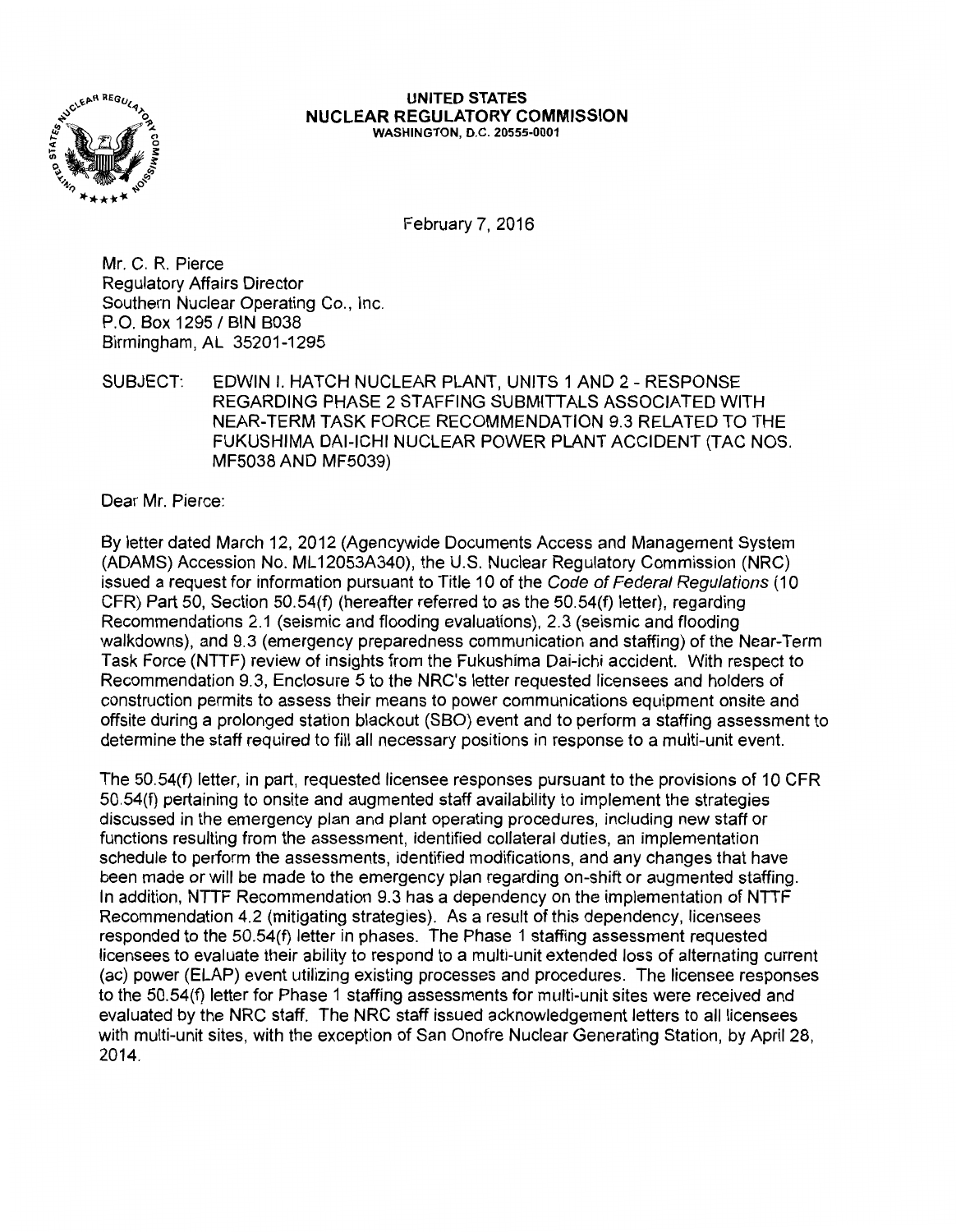

## **UNITED STATES NUCLEAR REGULATORY COMMISSION**  WASHINGTON, D.C. 20555-0001

February 7, 2016

Mr. C. R. Pierce Regulatory Affairs Director Southern Nuclear Operating Co., Inc. P.O. Box 1295 / BIN B038 Birmingham, AL 35201-1295

SUBJECT: EDWIN I. HATCH NUCLEAR PLANT, UNITS 1AND2 - RESPONSE REGARDING PHASE 2 STAFFING SUBMITTALS ASSOCIATED WITH NEAR-TERM TASK FORCE RECOMMENDATION 9.3 RELATED TO THE FUKUSHIMA DAl-ICHI NUCLEAR POWER PLANT ACCIDENT (TAC NOS. MF5038 AND MF5039)

Dear Mr. Pierce:

By letter dated March 12, 2012 (Agencywide Documents Access and Management System (ADAMS) Accession No. ML 12053A340), the U.S. Nuclear Regulatory Commission (NRC) issued a request for information pursuant to Title 10 of the Code of Federal Regulations (10 CFR) Part 50, Section 50.54(f) (hereafter referred to as the 50.54(f) letter), regarding Recommendations 2.1 (seismic and flooding evaluations), 2.3 (seismic and flooding walkdowns), and 9.3 (emergency preparedness communication and staffing) of the Near-Term Task Force (NTTF) review of insights from the Fukushima Dai-ichi accident. With respect to Recommendation 9.3, Enclosure 5 to the NRC's letter requested licensees and holders of construction permits to assess their means to power communications equipment onsite and offsite during a prolonged station blackout (SBO) event and to perform a staffing assessment to determine the staff required to fill all necessary positions in response to a multi-unit event.

The 50.54(f) letter, in part, requested licensee responses pursuant to the provisions of 10 CFR 50.54(f) pertaining to onsite and augmented staff availability to implement the strategies discussed in the emergency plan and plant operating procedures, including new staff or functions resulting from the assessment, identified collateral duties, an implementation schedule to perform the assessments, identified modifications, and any changes that have been made or will be made to the emergency plan regarding on-shift or augmented staffing. In addition, NTIF Recommendation 9.3 has a dependency on the implementation of NTTF Recommendation 4.2 (mitigating strategies). As a result of this dependency, licensees responded to the 50.54(f) letter in phases. The Phase 1 staffing assessment requested licensees to evaluate their ability to respond to a multi-unit extended loss of alternating current (ac) power (ELAP) event utilizing existing processes and procedures. The licensee responses to the 50.54(f) letter for Phase 1 staffing assessments for multi-unit sites were received and evaluated by the NRC staff. The NRC staff issued acknowledgement letters to all licensees with multi-unit sites, with the exception of San Onofre Nuclear Generating Station, by April 28, 2014.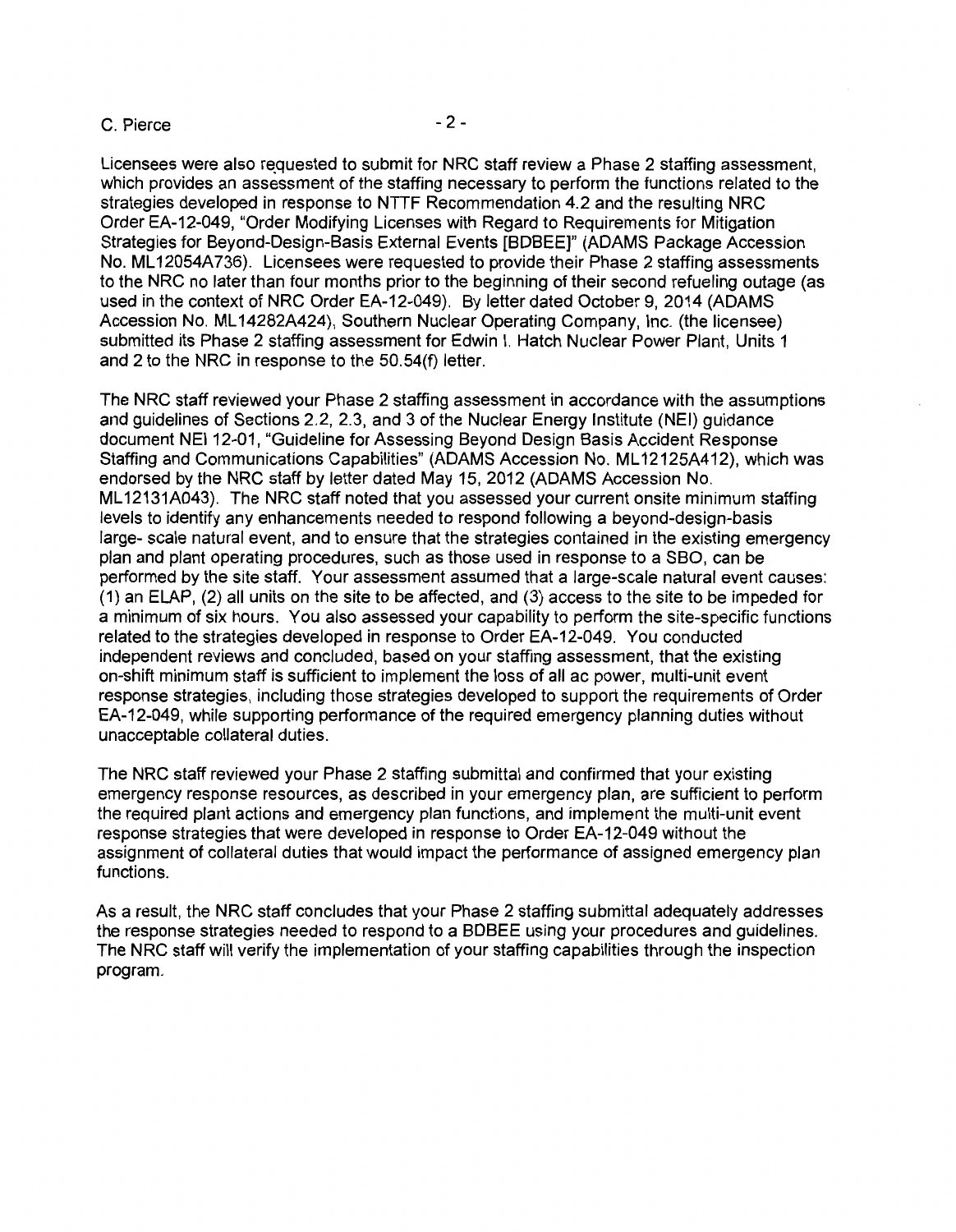## $C.$  Pierce  $-2 -$

Licensees were also requested to submit for NRC staff review a Phase 2 staffing assessment, which provides an assessment of the staffing necessary to perform the functions related to the strategies developed in response to NTTF Recommendation 4.2 and the resulting NRC Order EA-12-049, "Order Modifying Licenses with Regard to Requirements for Mitigation Strategies for Beyond-Design-Basis External Events [BDBEE]" (ADAMS Package Accession No. ML12054A736). Licensees were requested to provide their Phase 2 staffing assessments to the NRC no later than four months prior to the beginning of their second refueling outage (as used in the context of NRC Order EA-12-049). By letter dated October 9, 2014 (ADAMS Accession No. ML 14282A424), Southern Nuclear Operating Company, Inc. (the licensee) submitted its Phase 2 staffing assessment for Edwin I. Hatch Nuclear Power Plant, Units 1 and 2 to the NRC in response to the 50.54(f) letter.

The NRC staff reviewed your Phase 2 staffing assessment in accordance with the assumptions and guidelines of Sections 2.2, 2.3, and 3 of the Nuclear Energy Institute (NEI) guidance document NEI 12-01, "Guideline for Assessing Beyond Design Basis Accident Response Staffing and Communications Capabilities" (ADAMS Accession No. ML12125A412), which was endorsed by the NRC staff by letter dated May 15, 2012 (ADAMS Accession No. ML12131A043). The NRC staff noted that you assessed your current onsite minimum staffing levels to identify any enhancements needed to respond following a beyond-design-basis large- scale natural event, and to ensure that the strategies contained in the existing emergency plan and plant operating procedures, such as those used in response to a SBO, can be performed by the site staff. Your assessment assumed that a large-scale natural event causes: (1) an ELAP, (2) all units on the site to be affected, and (3) access to the site to be impeded for a minimum of six hours. You also assessed your capability to perform the site-specific functions related to the strategies developed in response to Order EA-12-049. You conducted independent reviews and concluded, based on your staffing assessment, that the existing on-shift minimum staff is sufficient to implement the loss of all ac power, multi-unit event response strategies, including those strategies developed to support the requirements of Order EA-12-049, while supporting performance of the required emergency planning duties without unacceptable collateral duties.

The NRC staff reviewed your Phase 2 staffing submittal and confirmed that your existing emergency response resources, as described in your emergency plan, are sufficient to perform the required plant actions and emergency plan functions, and implement the multi-unit event response strategies that were developed in response to Order EA-12-049 without the assignment of collateral duties that would impact the performance of assigned emergency plan functions.

As a result, the NRC staff concludes that your Phase 2 staffing submittal adequately addresses the response strategies needed to respond to a BDBEE using your procedures and guidelines. The NRC staff will verify the implementation of your staffing capabilities through the inspection program.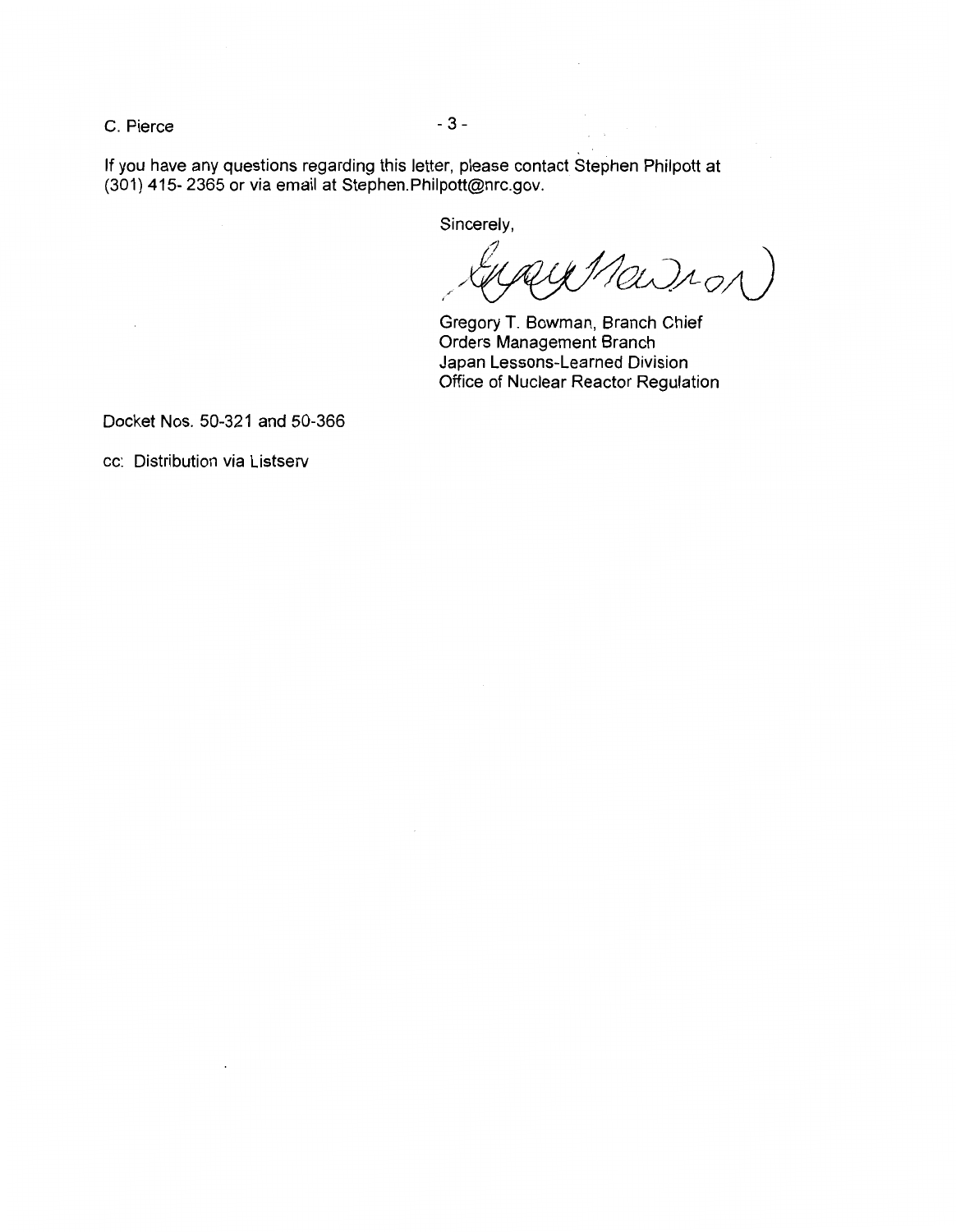$C.$  Pierce  $-3-$ 

If you have any questions regarding this letter, please contact Stephen Philpott at (301) 415- 2365 or via email at Stephen.Philpott@nrc.gov.

Sincerely,

 $y$ Ma $\mathcal{D}_{A_O}$ 

Gregory T. Bowman, Branch Chief Orders Management Branch Japan Lessons-Learned Division Office of Nuclear Reactor Regulation

Docket Nos. 50-321 and 50-366

 $\ddot{\phantom{a}}$ 

cc: Distribution via Listserv